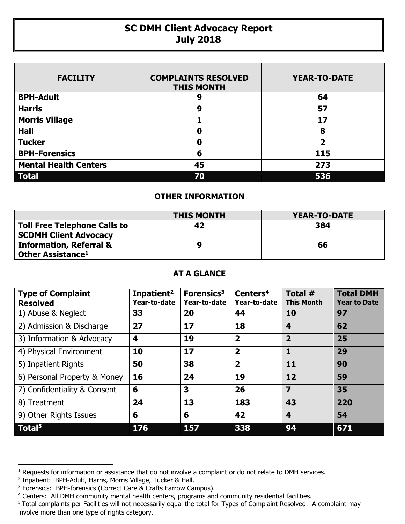## **SC DMH Client Advocacy Report July 2018**

| <b>FACILITY</b>              | <b>COMPLAINTS RESOLVED</b><br><b>THIS MONTH</b> | <b>YEAR-TO-DATE</b>     |
|------------------------------|-------------------------------------------------|-------------------------|
| <b>BPH-Adult</b>             |                                                 | 64                      |
| <b>Harris</b>                | 9                                               | 57                      |
| <b>Morris Village</b>        |                                                 | 17                      |
| <b>Hall</b>                  | O                                               | 8                       |
| <b>Tucker</b>                | Ω                                               | $\overline{\mathbf{2}}$ |
| <b>BPH-Forensics</b>         | 6                                               | 115                     |
| <b>Mental Health Centers</b> | 45                                              | 273                     |
| <b>Total</b>                 | 70                                              | 536                     |

## **OTHER INFORMATION**

|                                                                     | <b>THIS MONTH</b> | YEAR-TO-DATE |
|---------------------------------------------------------------------|-------------------|--------------|
| <b>Toll Free Telephone Calls to</b><br><b>SCDMH Client Advocacy</b> | 42                | 384          |
| <b>Information, Referral &amp;</b><br>Other Assistance <sup>1</sup> |                   | 66           |

## **AT A GLANCE**

| <b>Type of Complaint</b><br><b>Resolved</b> | Inpatient <sup>2</sup><br>Year-to-date | Forensics <sup>3</sup><br>Year-to-date | Centers <sup>4</sup><br>Year-to-date | Total $#$<br><b>This Month</b> | <b>Total DMH</b><br><b>Year to Date</b> |
|---------------------------------------------|----------------------------------------|----------------------------------------|--------------------------------------|--------------------------------|-----------------------------------------|
| 1) Abuse & Neglect                          | 33                                     | 20                                     | 44                                   | 10                             | 97                                      |
| 2) Admission & Discharge                    | 27                                     | 17                                     | 18                                   | $\overline{\mathbf{4}}$        | 62                                      |
| 3) Information & Advocacy                   | 4                                      | 19                                     | $\overline{\mathbf{2}}$              | $\overline{2}$                 | 25                                      |
| 4) Physical Environment                     | 10                                     | 17                                     | $\overline{2}$                       | 1                              | 29                                      |
| 5) Inpatient Rights                         | 50                                     | 38                                     | $\overline{\mathbf{2}}$              | 11                             | 90                                      |
| 6) Personal Property & Money                | 16                                     | 24                                     | 19                                   | 12                             | 59                                      |
| 7) Confidentiality & Consent                | 6                                      | 3                                      | 26                                   | $\overline{z}$                 | 35                                      |
| 8) Treatment                                | 24                                     | 13                                     | 183                                  | 43                             | 220                                     |
| 9) Other Rights Issues                      | 6                                      | 6                                      | 42                                   | $\overline{\mathbf{4}}$        | 54                                      |
| Total <sup>5</sup>                          | 176                                    | 157                                    | 338                                  | 94                             | 671                                     |

 $\overline{a}$ 

<sup>&</sup>lt;sup>1</sup> Requests for information or assistance that do not involve a complaint or do not relate to DMH services.

<sup>2</sup> Inpatient: BPH-Adult, Harris, Morris Village, Tucker & Hall.

<sup>&</sup>lt;sup>3</sup> Forensics: BPH-forensics (Correct Care & Crafts Farrow Campus).

<sup>&</sup>lt;sup>4</sup> Centers: All DMH community mental health centers, programs and community residential facilities.

<sup>&</sup>lt;sup>5</sup> Total complaints per Facilities will not necessarily equal the total for Types of Complaint Resolved. A complaint may involve more than one type of rights category.